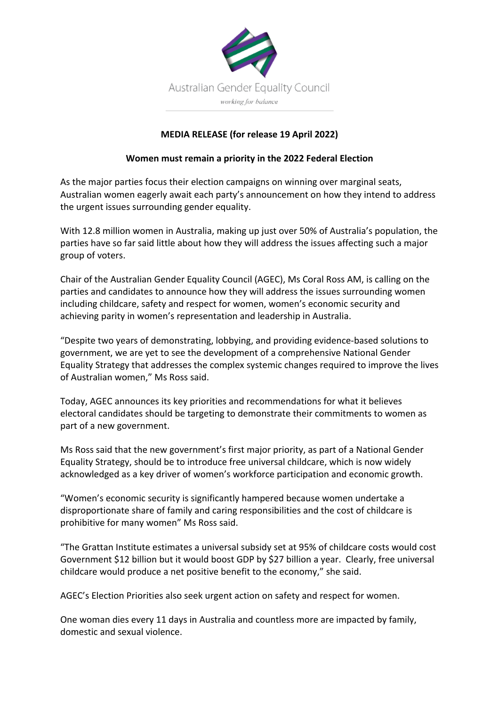

## **MEDIA RELEASE (for release 19 April 2022)**

## **Women must remain a priority in the 2022 Federal Election**

As the major parties focus their election campaigns on winning over marginal seats, Australian women eagerly await each party's announcement on how they intend to address the urgent issues surrounding gender equality.

With 12.8 million women in Australia, making up just over 50% of Australia's population, the parties have so far said little about how they will address the issues affecting such a major group of voters.

Chair of the Australian Gender Equality Council (AGEC), Ms Coral Ross AM, is calling on the parties and candidates to announce how they will address the issues surrounding women including childcare, safety and respect for women, women's economic security and achieving parity in women's representation and leadership in Australia.

"Despite two years of demonstrating, lobbying, and providing evidence-based solutions to government, we are yet to see the development of a comprehensive National Gender Equality Strategy that addresses the complex systemic changes required to improve the lives of Australian women," Ms Ross said.

Today, AGEC announces its key priorities and recommendations for what it believes electoral candidates should be targeting to demonstrate their commitments to women as part of a new government.

Ms Ross said that the new government's first major priority, as part of a National Gender Equality Strategy, should be to introduce free universal childcare, which is now widely acknowledged as a key driver of women's workforce participation and economic growth.

"Women's economic security is significantly hampered because women undertake a disproportionate share of family and caring responsibilities and the cost of childcare is prohibitive for many women" Ms Ross said.

"The Grattan Institute estimates a universal subsidy set at 95% of childcare costs would cost Government \$12 billion but it would boost GDP by \$27 billion a year. Clearly, free universal childcare would produce a net positive benefit to the economy," she said.

AGEC's Election Priorities also seek urgent action on safety and respect for women.

One woman dies every 11 days in Australia and countless more are impacted by family, domestic and sexual violence.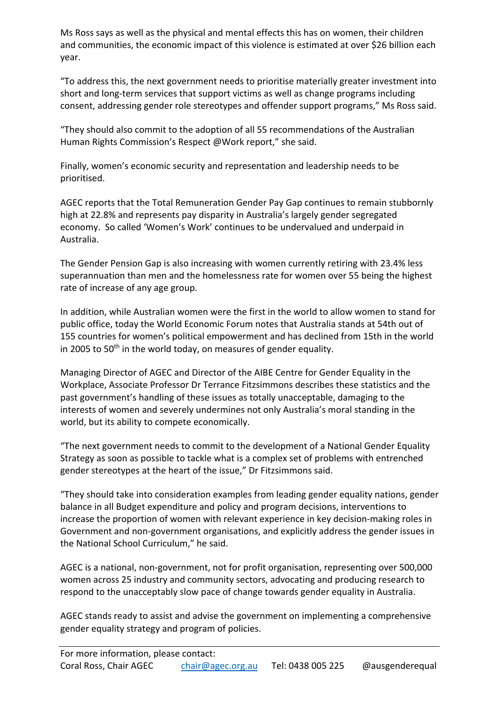Ms Ross says as well as the physical and mental effects this has on women, their children and communities, the economic impact of this violence is estimated at over \$26 billion each year.

"To address this, the next government needs to prioritise materially greater investment into short and long-term services that support victims as well as change programs including consent, addressing gender role stereotypes and offender support programs," Ms Ross said.

"They should also commit to the adoption of all 55 recommendations of the Australian Human Rights Commission's Respect @Work report," she said.

Finally, women's economic security and representation and leadership needs to be prioritised.

AGEC reports that the Total Remuneration Gender Pay Gap continues to remain stubbornly high at 22.8% and represents pay disparity in Australia's largely gender segregated economy. So called 'Women's Work' continues to be undervalued and underpaid in Australia.

The Gender Pension Gap is also increasing with women currently retiring with 23.4% less superannuation than men and the homelessness rate for women over 55 being the highest rate of increase of any age group.

In addition, while Australian women were the first in the world to allow women to stand for public office, today the World Economic Forum notes that Australia stands at 54th out of 155 countries for women's political empowerment and has declined from 15th in the world in 2005 to  $50<sup>th</sup>$  in the world today, on measures of gender equality.

Managing Director of AGEC and Director of the AIBE Centre for Gender Equality in the Workplace, Associate Professor Dr Terrance Fitzsimmons describes these statistics and the past government's handling of these issues as totally unacceptable, damaging to the interests of women and severely undermines not only Australia's moral standing in the world, but its ability to compete economically.

"The next government needs to commit to the development of a National Gender Equality Strategy as soon as possible to tackle what is a complex set of problems with entrenched gender stereotypes at the heart of the issue," Dr Fitzsimmons said.

"They should take into consideration examples from leading gender equality nations, gender balance in all Budget expenditure and policy and program decisions, interventions to increase the proportion of women with relevant experience in key decision-making roles in Government and non-government organisations, and explicitly address the gender issues in the National School Curriculum," he said.

AGEC is a national, non-government, not for profit organisation, representing over 500,000 women across 25 industry and community sectors, advocating and producing research to respond to the unacceptably slow pace of change towards gender equality in Australia.

AGEC stands ready to assist and advise the government on implementing a comprehensive gender equality strategy and program of policies.